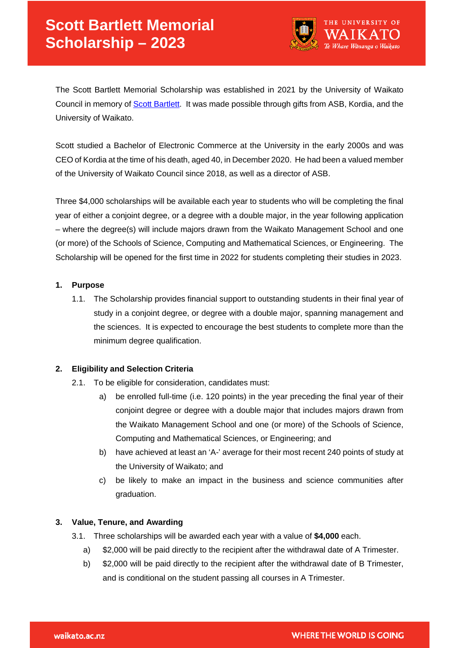

The Scott Bartlett Memorial Scholarship was established in 2021 by the University of Waikato Council in memory of [Scott Bartlett.](https://www.waikato.ac.nz/news-opinion/media/2020/remembering-a-one-of-a-kind-leader) It was made possible through gifts from ASB, Kordia, and the University of Waikato.

Scott studied a Bachelor of Electronic Commerce at the University in the early 2000s and was CEO of Kordia at the time of his death, aged 40, in December 2020. He had been a valued member of the University of Waikato Council since 2018, as well as a director of ASB.

Three \$4,000 scholarships will be available each year to students who will be completing the final year of either a conjoint degree, or a degree with a double major, in the year following application – where the degree(s) will include majors drawn from the Waikato Management School and one (or more) of the Schools of Science, Computing and Mathematical Sciences, or Engineering. The Scholarship will be opened for the first time in 2022 for students completing their studies in 2023.

### **1. Purpose**

1.1. The Scholarship provides financial support to outstanding students in their final year of study in a conjoint degree, or degree with a double major, spanning management and the sciences. It is expected to encourage the best students to complete more than the minimum degree qualification.

# **2. Eligibility and Selection Criteria**

- 2.1. To be eligible for consideration, candidates must:
	- a) be enrolled full-time (i.e. 120 points) in the year preceding the final year of their conjoint degree or degree with a double major that includes majors drawn from the Waikato Management School and one (or more) of the Schools of Science, Computing and Mathematical Sciences, or Engineering; and
	- b) have achieved at least an 'A-' average for their most recent 240 points of study at the University of Waikato; and
	- c) be likely to make an impact in the business and science communities after graduation.

### **3. Value, Tenure, and Awarding**

- 3.1. Three scholarships will be awarded each year with a value of **\$4,000** each.
	- a) \$2,000 will be paid directly to the recipient after the withdrawal date of A Trimester.
	- b) \$2,000 will be paid directly to the recipient after the withdrawal date of B Trimester, and is conditional on the student passing all courses in A Trimester.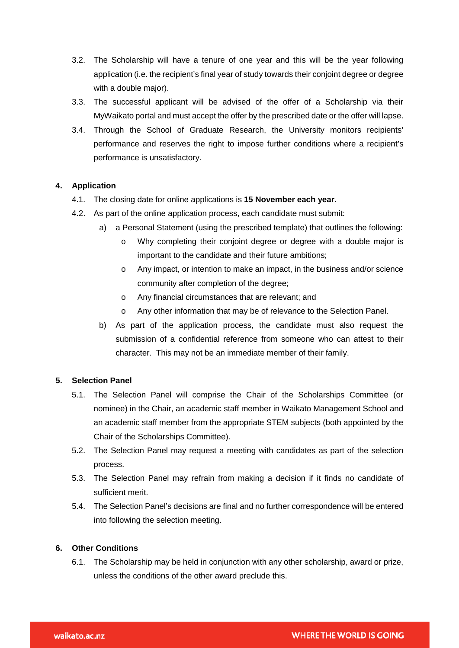- 3.2. The Scholarship will have a tenure of one year and this will be the year following application (i.e. the recipient's final year of study towards their conjoint degree or degree with a double major).
- 3.3. The successful applicant will be advised of the offer of a Scholarship via their MyWaikato portal and must accept the offer by the prescribed date or the offer will lapse.
- 3.4. Through the School of Graduate Research, the University monitors recipients' performance and reserves the right to impose further conditions where a recipient's performance is unsatisfactory.

# **4. Application**

- 4.1. The closing date for online applications is **15 November each year.**
- 4.2. As part of the online application process, each candidate must submit:
	- a) a Personal Statement (using the prescribed template) that outlines the following:
		- o Why completing their conjoint degree or degree with a double major is important to the candidate and their future ambitions;
		- o Any impact, or intention to make an impact, in the business and/or science community after completion of the degree;
		- o Any financial circumstances that are relevant; and
		- o Any other information that may be of relevance to the Selection Panel.
	- b) As part of the application process, the candidate must also request the submission of a confidential reference from someone who can attest to their character. This may not be an immediate member of their family.

# **5. Selection Panel**

- 5.1. The Selection Panel will comprise the Chair of the Scholarships Committee (or nominee) in the Chair, an academic staff member in Waikato Management School and an academic staff member from the appropriate STEM subjects (both appointed by the Chair of the Scholarships Committee).
- 5.2. The Selection Panel may request a meeting with candidates as part of the selection process.
- 5.3. The Selection Panel may refrain from making a decision if it finds no candidate of sufficient merit.
- 5.4. The Selection Panel's decisions are final and no further correspondence will be entered into following the selection meeting.

### **6. Other Conditions**

6.1. The Scholarship may be held in conjunction with any other scholarship, award or prize, unless the conditions of the other award preclude this.